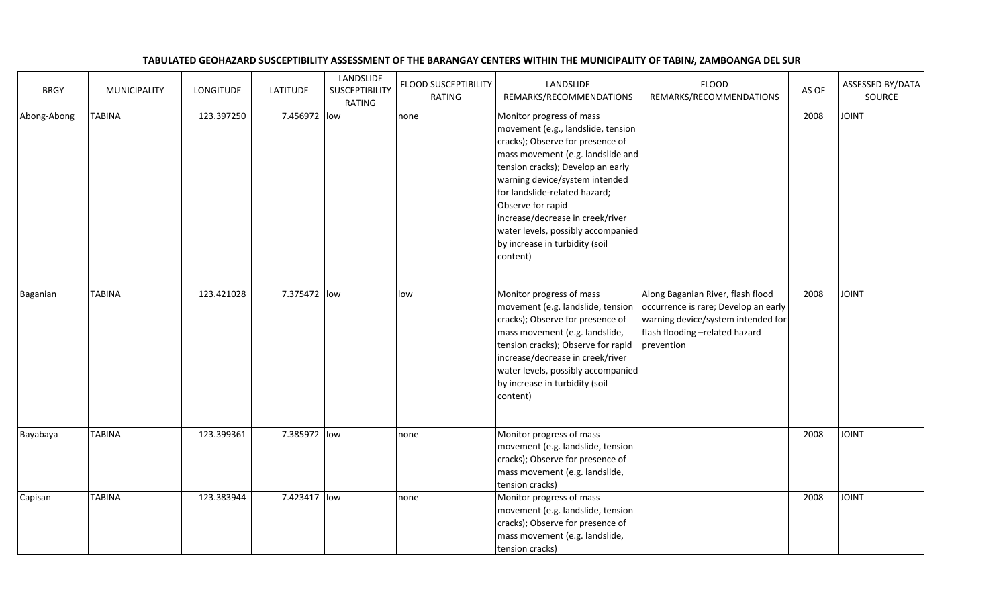## BRGY | MUNICIPALITY | LONGITUDE | LATITUDE LANDSLIDE **SUSCEPTIBILITY** RATINGFLOOD SUSCEPTIBILITY RATINGLANDSLIDE REMARKS/RECOMMENDATIONSFLOOD REMARKS/RECOMMENDATIONSAS OF ASSESSED BY/DATA Abong-Abong TABINA 123.397250 7.456972 low none Monitor progress of mass movement (e.g., landslide, tension cracks); Observe for presence of mass movement (e.g. landslide and tension cracks); Develop an early warning device/system intended for landslide-related hazard; Observe for rapid increase/decrease in creek/river water levels, possibly accompanied by increase in turbidity (soil content)<sup>2008</sup> JOINT Baganian TABINA | 123.421028 7.375472 low low | Monitor progress of mass movement (e.g. landslide, tension cracks); Observe for presence of mass movement (e.g. landslide, tension cracks); Observe for rapid increase/decrease in creek/river water levels, possibly accompanied by increase in turbidity (soil content)Along Baganian River, flash flood occurrence is rare; Develop an early warning device/system intended for flash flooding –related hazard prevention<sup>2008</sup> JOINT Bayabaya TABINA 123.399361 7.385972 low none Monitor progress of mass movement (e.g. landslide, tension cracks); Observe for presence of mass movement (e.g. landslide, tension cracks)Capisan  $\begin{array}{|c|c|c|c|c|}\n\hline\n\end{array}$  TABINA 123.383944 7.423417 low none Monitor progress of mass <sup>2008</sup> JOINT movement (e.g. landslide, tension cracks); Observe for presence of mass movement (e.g. landslide, <sup>2008</sup> JOINT

tension cracks)

## TABULATED GEOHAZARD SUSCEPTIBILITY ASSESSMENT OF THE BARANGAY CENTERS WITHIN THE MUNICIPALITY OF TABINA, ZAMBOANGA DEL SUR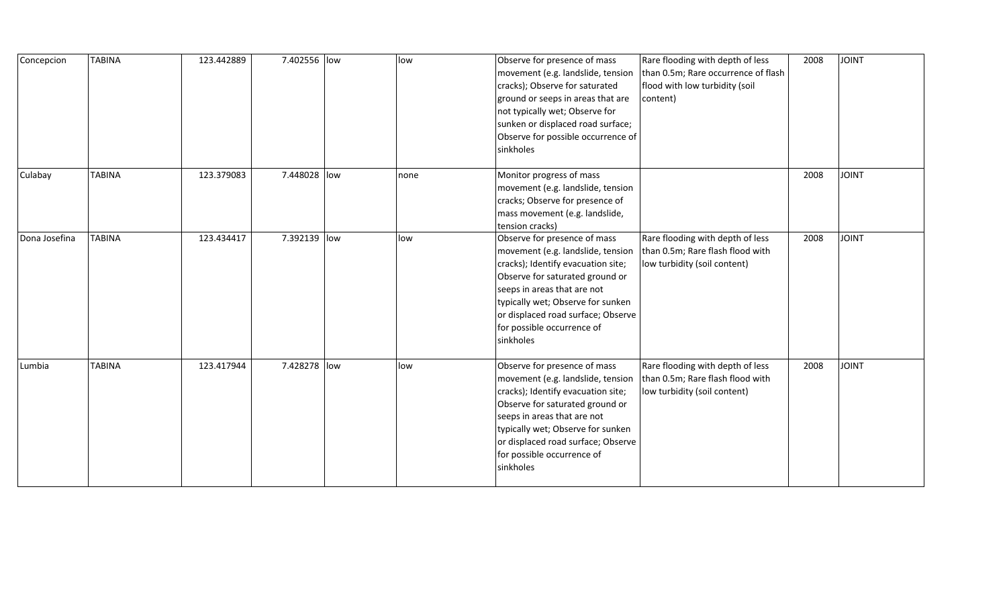| Concepcion    | <b>TABINA</b> | 123.442889 | 7.402556 low |     | low  | Observe for presence of mass<br>movement (e.g. landslide, tension<br>cracks); Observe for saturated<br>ground or seeps in areas that are<br>not typically wet; Observe for<br>sunken or displaced road surface;<br>Observe for possible occurrence of<br>sinkholes                              | Rare flooding with depth of less<br>than 0.5m; Rare occurrence of flash<br>flood with low turbidity (soil<br>content) | 2008 | <b>JOINT</b> |
|---------------|---------------|------------|--------------|-----|------|-------------------------------------------------------------------------------------------------------------------------------------------------------------------------------------------------------------------------------------------------------------------------------------------------|-----------------------------------------------------------------------------------------------------------------------|------|--------------|
| Culabay       | <b>TABINA</b> | 123.379083 | 7.448028 low |     | none | Monitor progress of mass<br>movement (e.g. landslide, tension<br>cracks; Observe for presence of<br>mass movement (e.g. landslide,<br>tension cracks)                                                                                                                                           |                                                                                                                       | 2008 | <b>JOINT</b> |
| Dona Josefina | <b>TABINA</b> | 123.434417 | 7.392139 low |     | low  | Observe for presence of mass<br>movement (e.g. landslide, tension<br>cracks); Identify evacuation site;<br>Observe for saturated ground or<br>seeps in areas that are not<br>typically wet; Observe for sunken<br>or displaced road surface; Observe<br>for possible occurrence of<br>sinkholes | Rare flooding with depth of less<br>than 0.5m; Rare flash flood with<br>low turbidity (soil content)                  | 2008 | <b>JOINT</b> |
| Lumbia        | <b>TABINA</b> | 123.417944 | 7.428278     | low | low  | Observe for presence of mass<br>movement (e.g. landslide, tension<br>cracks); Identify evacuation site;<br>Observe for saturated ground or<br>seeps in areas that are not<br>typically wet; Observe for sunken<br>or displaced road surface; Observe<br>for possible occurrence of<br>sinkholes | Rare flooding with depth of less<br>than 0.5m; Rare flash flood with<br>low turbidity (soil content)                  | 2008 | <b>JOINT</b> |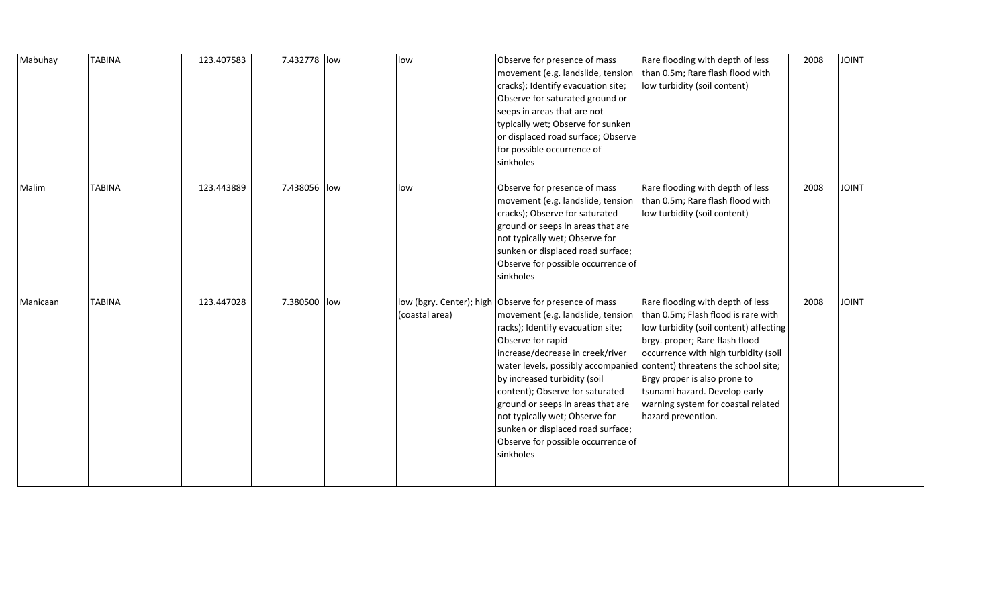| Mabuhay  | <b>TABINA</b> | 123.407583 | 7.432778 low | low                                        | Observe for presence of mass<br>movement (e.g. landslide, tension<br>cracks); Identify evacuation site;<br>Observe for saturated ground or<br>seeps in areas that are not<br>typically wet; Observe for sunken<br>or displaced road surface; Observe<br>for possible occurrence of<br>sinkholes                                                                                                                                                                             | Rare flooding with depth of less<br>than 0.5m; Rare flash flood with<br>low turbidity (soil content)                                                                                                                                                                                                                     | 2008 | <b>JOINT</b> |
|----------|---------------|------------|--------------|--------------------------------------------|-----------------------------------------------------------------------------------------------------------------------------------------------------------------------------------------------------------------------------------------------------------------------------------------------------------------------------------------------------------------------------------------------------------------------------------------------------------------------------|--------------------------------------------------------------------------------------------------------------------------------------------------------------------------------------------------------------------------------------------------------------------------------------------------------------------------|------|--------------|
| Malim    | <b>TABINA</b> | 123.443889 | 7.438056 low | low                                        | Observe for presence of mass<br>movement (e.g. landslide, tension<br>cracks); Observe for saturated<br>ground or seeps in areas that are<br>not typically wet; Observe for<br>sunken or displaced road surface;<br>Observe for possible occurrence of<br>sinkholes                                                                                                                                                                                                          | Rare flooding with depth of less<br>than 0.5m; Rare flash flood with<br>low turbidity (soil content)                                                                                                                                                                                                                     | 2008 | <b>JOINT</b> |
| Manicaan | <b>TABINA</b> | 123.447028 | 7.380500 low | low (bgry. Center); high<br>(coastal area) | Observe for presence of mass<br>movement (e.g. landslide, tension<br>racks); Identify evacuation site;<br>Observe for rapid<br>increase/decrease in creek/river<br>water levels, possibly accompanied content) threatens the school site;<br>by increased turbidity (soil<br>content); Observe for saturated<br>ground or seeps in areas that are<br>not typically wet; Observe for<br>sunken or displaced road surface;<br>Observe for possible occurrence of<br>sinkholes | Rare flooding with depth of less<br>than 0.5m; Flash flood is rare with<br>low turbidity (soil content) affecting<br>brgy. proper; Rare flash flood<br>occurrence with high turbidity (soil<br>Brgy proper is also prone to<br>tsunami hazard. Develop early<br>warning system for coastal related<br>hazard prevention. | 2008 | <b>JOINT</b> |